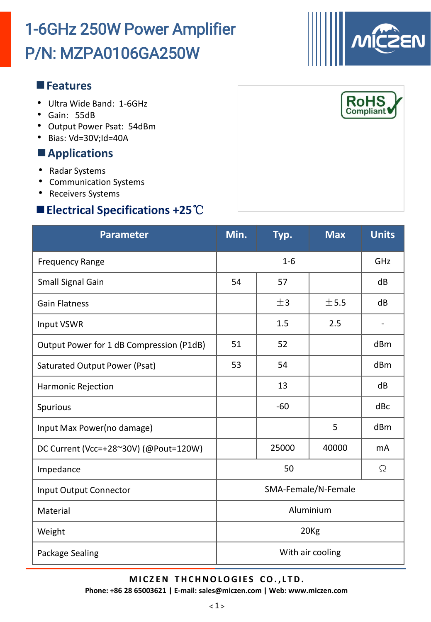# P/N: MZPA0106GA250W 1-6GHz 250W Power Amplifier

#### **Features**

- Ultra Wide Band: 1-6GHz
- Gain: 55dB
- Output Power Psat: 54dBm
- Bias: Vd=30V;Id=40A

### **Applications**

- Radar Systems
- Communication Systems
- Receivers Systems

# **Electrical Specifications +25**℃

| <b>Parameter</b>                         | Min.                | Typ.  | <b>Max</b> | <b>Units</b> |  |  |
|------------------------------------------|---------------------|-------|------------|--------------|--|--|
| <b>Frequency Range</b>                   | $1 - 6$<br>GHz      |       |            |              |  |  |
| Small Signal Gain                        | 54                  | 57    |            | dB           |  |  |
| <b>Gain Flatness</b>                     |                     | ±3    | ±5.5       | dB           |  |  |
| <b>Input VSWR</b>                        |                     | 1.5   | 2.5        |              |  |  |
| Output Power for 1 dB Compression (P1dB) | 51                  | 52    |            | dBm          |  |  |
| Saturated Output Power (Psat)            | 53                  | 54    |            | dBm          |  |  |
| Harmonic Rejection                       |                     | 13    |            | dB           |  |  |
| Spurious                                 |                     | $-60$ |            | dBc          |  |  |
| Input Max Power(no damage)               |                     |       | 5          | dBm          |  |  |
| DC Current (Vcc=+28~30V) (@Pout=120W)    |                     | 25000 | 40000      | mA           |  |  |
| Impedance                                | 50<br>Ω             |       |            |              |  |  |
| Input Output Connector                   | SMA-Female/N-Female |       |            |              |  |  |
| Material                                 | Aluminium           |       |            |              |  |  |
| Weight                                   | 20 <sub>Kg</sub>    |       |            |              |  |  |
| Package Sealing                          | With air cooling    |       |            |              |  |  |

**M I C Z EN T HCHNOLOGI E S CO. , L TD.**

**Phone: +86 28 65003621 | E-mail: sales@miczen.com | Web: www.miczen.com**